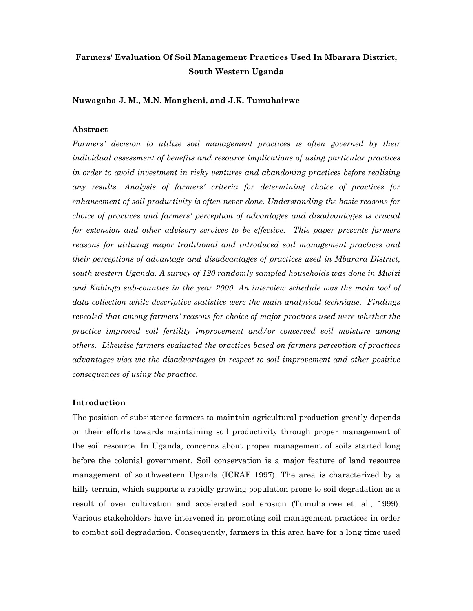## **Farmers' Evaluation Of Soil Management Practices Used In Mbarara District, South Western Uganda**

**Nuwagaba J. M., M.N. Mangheni, and J.K. Tumuhairwe** 

#### **Abstract**

Farmers' decision to utilize soil management practices is often governed by their *individual assessment of benefits and resource implications of using particular practices in order to avoid investment in risky ventures and abandoning practices before realising any results. Analysis of farmers' criteria for determining choice of practices for enhancement of soil productivity is often never done. Understanding the basic reasons for choice of practices and farmers' perception of advantages and disadvantages is crucial for extension and other advisory services to be effective. This paper presents farmers reasons for utilizing major traditional and introduced soil management practices and their perceptions of advantage and disadvantages of practices used in Mbarara District, south western Uganda. A survey of 120 randomly sampled households was done in Mwizi and Kabingo sub-counties in the year 2000. An interview schedule was the main tool of data collection while descriptive statistics were the main analytical technique. Findings revealed that among farmers' reasons for choice of major practices used were whether the practice improved soil fertility improvement and/or conserved soil moisture among others. Likewise farmers evaluated the practices based on farmers perception of practices advantages visa vie the disadvantages in respect to soil improvement and other positive consequences of using the practice.* 

#### **Introduction**

The position of subsistence farmers to maintain agricultural production greatly depends on their efforts towards maintaining soil productivity through proper management of the soil resource. In Uganda, concerns about proper management of soils started long before the colonial government. Soil conservation is a major feature of land resource management of southwestern Uganda (ICRAF 1997). The area is characterized by a hilly terrain, which supports a rapidly growing population prone to soil degradation as a result of over cultivation and accelerated soil erosion (Tumuhairwe et. al., 1999). Various stakeholders have intervened in promoting soil management practices in order to combat soil degradation. Consequently, farmers in this area have for a long time used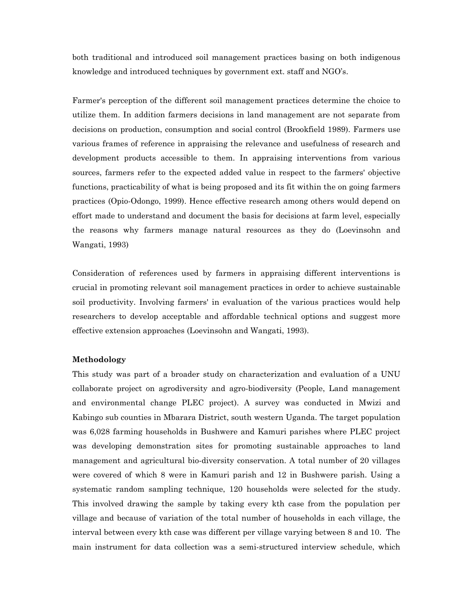both traditional and introduced soil management practices basing on both indigenous knowledge and introduced techniques by government ext. staff and NGO's.

Farmer's perception of the different soil management practices determine the choice to utilize them. In addition farmers decisions in land management are not separate from decisions on production, consumption and social control (Brookfield 1989). Farmers use various frames of reference in appraising the relevance and usefulness of research and development products accessible to them. In appraising interventions from various sources, farmers refer to the expected added value in respect to the farmers' objective functions, practicability of what is being proposed and its fit within the on going farmers practices (Opio-Odongo, 1999). Hence effective research among others would depend on effort made to understand and document the basis for decisions at farm level, especially the reasons why farmers manage natural resources as they do (Loevinsohn and Wangati, 1993)

Consideration of references used by farmers in appraising different interventions is crucial in promoting relevant soil management practices in order to achieve sustainable soil productivity. Involving farmers' in evaluation of the various practices would help researchers to develop acceptable and affordable technical options and suggest more effective extension approaches (Loevinsohn and Wangati, 1993).

#### **Methodology**

This study was part of a broader study on characterization and evaluation of a UNU collaborate project on agrodiversity and agro-biodiversity (People, Land management and environmental change PLEC project). A survey was conducted in Mwizi and Kabingo sub counties in Mbarara District, south western Uganda. The target population was 6,028 farming households in Bushwere and Kamuri parishes where PLEC project was developing demonstration sites for promoting sustainable approaches to land management and agricultural bio-diversity conservation. A total number of 20 villages were covered of which 8 were in Kamuri parish and 12 in Bushwere parish. Using a systematic random sampling technique, 120 households were selected for the study. This involved drawing the sample by taking every kth case from the population per village and because of variation of the total number of households in each village, the interval between every kth case was different per village varying between 8 and 10. The main instrument for data collection was a semi-structured interview schedule, which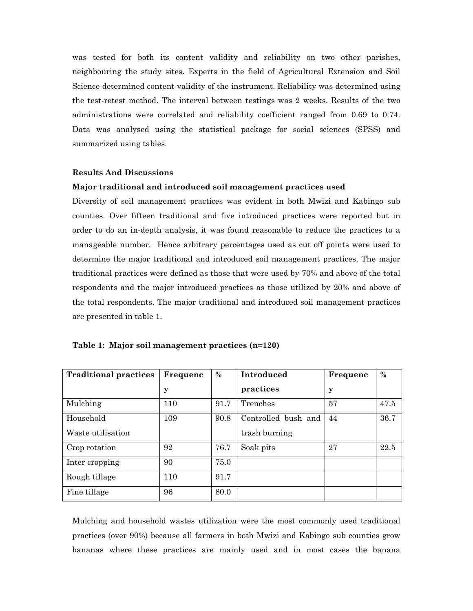was tested for both its content validity and reliability on two other parishes, neighbouring the study sites. Experts in the field of Agricultural Extension and Soil Science determined content validity of the instrument. Reliability was determined using the test-retest method. The interval between testings was 2 weeks. Results of the two administrations were correlated and reliability coefficient ranged from 0.69 to 0.74. Data was analysed using the statistical package for social sciences (SPSS) and summarized using tables.

#### **Results And Discussions**

#### **Major traditional and introduced soil management practices used**

Diversity of soil management practices was evident in both Mwizi and Kabingo sub counties. Over fifteen traditional and five introduced practices were reported but in order to do an in-depth analysis, it was found reasonable to reduce the practices to a manageable number. Hence arbitrary percentages used as cut off points were used to determine the major traditional and introduced soil management practices. The major traditional practices were defined as those that were used by 70% and above of the total respondents and the major introduced practices as those utilized by 20% and above of the total respondents. The major traditional and introduced soil management practices are presented in table 1.

|  |  | Table 1: Major soil management practices (n=120) |  |
|--|--|--------------------------------------------------|--|
|--|--|--------------------------------------------------|--|

| <b>Traditional practices</b> | Frequenc | $\frac{0}{0}$ | Introduced          | Frequenc | $\frac{0}{0}$ |
|------------------------------|----------|---------------|---------------------|----------|---------------|
|                              | у        |               | practices           | y        |               |
| Mulching                     | 110      | 91.7          | Trenches            | 57       | 47.5          |
| Household                    | 109      | 90.8          | Controlled bush and | 44       | 36.7          |
| Waste utilisation            |          |               | trash burning       |          |               |
| Crop rotation                | 92       | 76.7          | Soak pits           | 27       | 22.5          |
| Inter cropping               | 90       | 75.0          |                     |          |               |
| Rough tillage                | 110      | 91.7          |                     |          |               |
| Fine tillage                 | 96       | 80.0          |                     |          |               |

Mulching and household wastes utilization were the most commonly used traditional practices (over 90%) because all farmers in both Mwizi and Kabingo sub counties grow bananas where these practices are mainly used and in most cases the banana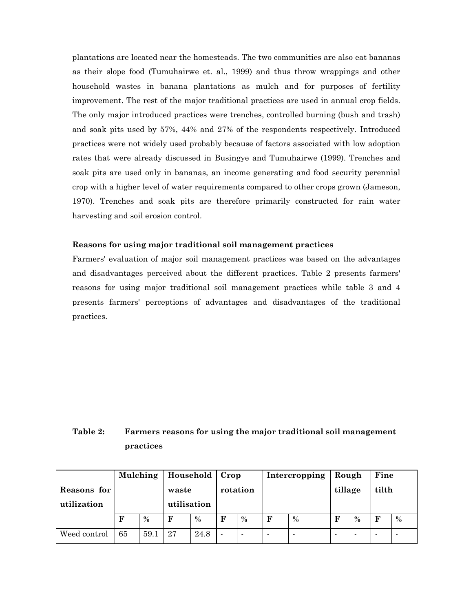plantations are located near the homesteads. The two communities are also eat bananas as their slope food (Tumuhairwe et. al., 1999) and thus throw wrappings and other household wastes in banana plantations as mulch and for purposes of fertility improvement. The rest of the major traditional practices are used in annual crop fields. The only major introduced practices were trenches, controlled burning (bush and trash) and soak pits used by 57%, 44% and 27% of the respondents respectively. Introduced practices were not widely used probably because of factors associated with low adoption rates that were already discussed in Busingye and Tumuhairwe (1999). Trenches and soak pits are used only in bananas, an income generating and food security perennial crop with a higher level of water requirements compared to other crops grown (Jameson, 1970). Trenches and soak pits are therefore primarily constructed for rain water harvesting and soil erosion control.

#### **Reasons for using major traditional soil management practices**

Farmers' evaluation of major soil management practices was based on the advantages and disadvantages perceived about the different practices. Table 2 presents farmers' reasons for using major traditional soil management practices while table 3 and 4 presents farmers' perceptions of advantages and disadvantages of the traditional practices.

## **Table 2: Farmers reasons for using the major traditional soil management practices**

|                            |             | Household  <br>Mulching |                      | $ $ Crop      |                |                | Intercropping            | Rough          |             | Fine |                          |      |
|----------------------------|-------------|-------------------------|----------------------|---------------|----------------|----------------|--------------------------|----------------|-------------|------|--------------------------|------|
| Reasons for<br>utilization |             |                         | waste<br>utilisation |               | rotation       |                |                          |                | tillage     |      | tilth                    |      |
|                            | $\mathbf F$ | $\frac{0}{0}$           | $\mathbf F$          | $\frac{0}{0}$ | F              | $\frac{0}{0}$  | $\mathbf F$              | $\frac{0}{0}$  | $\mathbf F$ | $\%$ | F                        | $\%$ |
| Weed control               | 65          | 59.1                    | 27                   | 24.8          | $\blacksquare$ | $\blacksquare$ | $\overline{\phantom{0}}$ | $\blacksquare$ |             | -    | $\overline{\phantom{a}}$ |      |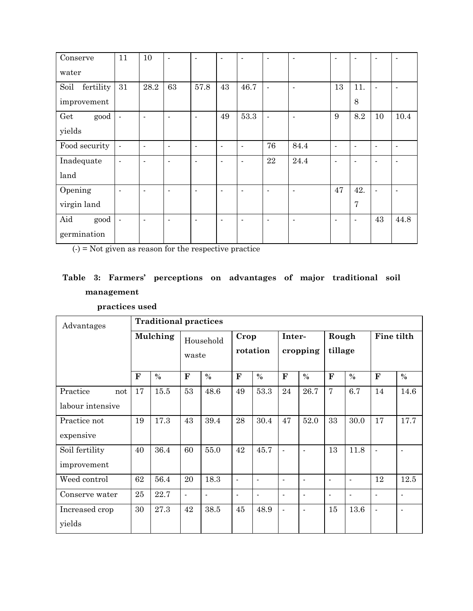| Conserve          | 11                       | 10             | $\blacksquare$           | $\blacksquare$ | $\blacksquare$           | $\blacksquare$           | $\blacksquare$ | $\blacksquare$ | $\blacksquare$ | $\blacksquare$ | ٠                        | $\blacksquare$           |
|-------------------|--------------------------|----------------|--------------------------|----------------|--------------------------|--------------------------|----------------|----------------|----------------|----------------|--------------------------|--------------------------|
| water             |                          |                |                          |                |                          |                          |                |                |                |                |                          |                          |
| fertility<br>Soil | 31                       | 28.2           | 63                       | 57.8           | 43                       | 46.7                     | $\blacksquare$ | ÷,             | 13             | 11.            | $\overline{\phantom{a}}$ | $\blacksquare$           |
| improvement       |                          |                |                          |                |                          |                          |                |                |                | 8              |                          |                          |
| good<br>Get       | $\overline{\phantom{a}}$ | $\blacksquare$ | $\blacksquare$           | $\blacksquare$ | 49                       | 53.3                     | $\blacksquare$ |                | 9              | 8.2            | 10                       | 10.4                     |
| yields            |                          |                |                          |                |                          |                          |                |                |                |                |                          |                          |
| Food security     | $\blacksquare$           | $\blacksquare$ | $\blacksquare$           | $\blacksquare$ | $\overline{\phantom{a}}$ | $\overline{\phantom{a}}$ | 76             | 84.4           | $\blacksquare$ | $\blacksquare$ | ٠                        | $\blacksquare$           |
| Inadequate        | $\blacksquare$           | $\overline{a}$ | $\overline{\phantom{a}}$ | $\blacksquare$ | $\blacksquare$           | $\overline{\phantom{a}}$ | 22             | 24.4           | $\blacksquare$ | $\overline{a}$ | ٠                        | $\overline{\phantom{0}}$ |
| land              |                          |                |                          |                |                          |                          |                |                |                |                |                          |                          |
| Opening           | $\blacksquare$           | $\blacksquare$ | $\blacksquare$           | $\overline{a}$ | $\blacksquare$           | $\blacksquare$           | $\blacksquare$ | ٠              | 47             | 42.            | $\blacksquare$           | $\blacksquare$           |
| virgin land       |                          |                |                          |                |                          |                          |                |                |                | $\overline{7}$ |                          |                          |
| Aid<br>good       | $\blacksquare$           | $\blacksquare$ | $\blacksquare$           | ٠              | $\blacksquare$           | $\overline{\phantom{a}}$ | $\blacksquare$ | ۰              | $\blacksquare$ | $\blacksquare$ | 43                       | 44.8                     |
| germination       |                          |                |                          |                |                          |                          |                |                |                |                |                          |                          |

 $(-) =$  Not given as reason for the respective practice

# **Table 3: Farmers' perceptions on advantages of major traditional soil management**

 **practices used** 

| Advantages                          |              | <b>Traditional practices</b> |                |                    |                |                          |                |                    |                |                          |                          |                          |  |
|-------------------------------------|--------------|------------------------------|----------------|--------------------|----------------|--------------------------|----------------|--------------------|----------------|--------------------------|--------------------------|--------------------------|--|
|                                     |              | Mulching                     |                | Household<br>waste |                | Crop<br>rotation         |                | Inter-<br>cropping |                | Rough<br>tillage         |                          | Fine tilth               |  |
|                                     | $\mathbf{F}$ | $\frac{0}{0}$                | $\mathbf{F}$   | $\%$               | F              | $\frac{0}{0}$            | $\mathbf{F}$   | $\frac{0}{0}$      | ${\bf F}$      | $\%$                     | F                        | $\%$                     |  |
| Practice<br>not<br>labour intensive | 17           | 15.5                         | 53             | 48.6               | 49             | 53.3                     | 24             | 26.7               | $\overline{7}$ | 6.7                      | 14                       | 14.6                     |  |
| Practice not<br>expensive           | 19           | 17.3                         | 43             | 39.4               | 28             | 30.4                     | 47             | 52.0               | 33             | 30.0                     | 17                       | 17.7                     |  |
| Soil fertility<br>improvement       | 40           | 36.4                         | 60             | 55.0               | 42             | 45.7                     | $\blacksquare$ | $\blacksquare$     | 13             | 11.8                     | $\overline{\phantom{a}}$ | ۰                        |  |
| Weed control                        | 62           | 56.4                         | 20             | 18.3               | $\blacksquare$ | $\blacksquare$           | $\blacksquare$ | $\blacksquare$     | $\blacksquare$ | $\overline{\phantom{a}}$ | 12                       | 12.5                     |  |
| Conserve water                      | 25           | 22.7                         | $\overline{a}$ | $\blacksquare$     | ۰              | $\overline{\phantom{a}}$ | $\blacksquare$ | $\blacksquare$     | $\blacksquare$ | $\blacksquare$           | $\overline{\phantom{a}}$ | $\overline{\phantom{a}}$ |  |
| Increased crop<br>yields            | 30           | 27.3                         | 42             | 38.5               | 45             | 48.9                     | $\blacksquare$ | $\blacksquare$     | 15             | 13.6                     | ÷,                       | ٠                        |  |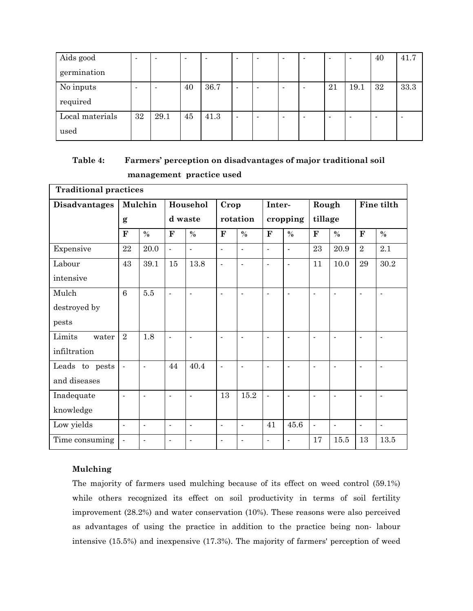| Aids good       | $\overline{\phantom{a}}$ | $\overline{\phantom{0}}$ |    | $\overline{\phantom{0}}$ | $\overline{\phantom{0}}$ | $\blacksquare$           | $\overline{\phantom{0}}$ | $\overline{\phantom{0}}$ | $\overline{\phantom{a}}$ | 40 | 41.7 |
|-----------------|--------------------------|--------------------------|----|--------------------------|--------------------------|--------------------------|--------------------------|--------------------------|--------------------------|----|------|
| germination     |                          |                          |    |                          |                          |                          |                          |                          |                          |    |      |
| No inputs       |                          | $\overline{\phantom{0}}$ | 40 | 36.7                     | $\overline{\phantom{0}}$ | $\overline{\phantom{0}}$ | $\overline{\phantom{0}}$ | 21                       | 19.1                     | 32 | 33.3 |
| required        |                          |                          |    |                          |                          |                          |                          |                          |                          |    |      |
| Local materials | 32                       | 29.1                     | 45 | 41.3                     | $\overline{\phantom{0}}$ | ۰                        | $\overline{\phantom{a}}$ |                          | ۰                        | -  | ۰    |
| used            |                          |                          |    |                          |                          |                          |                          |                          |                          |    |      |

## **Table 4: Farmers' perception on disadvantages of major traditional soil management practice used**

| <b>Traditional practices</b> |                          |                          |                          |                |                |                          |                          |                          |                |                          |                |                |
|------------------------------|--------------------------|--------------------------|--------------------------|----------------|----------------|--------------------------|--------------------------|--------------------------|----------------|--------------------------|----------------|----------------|
| <b>Disadvantages</b>         |                          | Mulchin                  |                          | Househol       | Crop           |                          | Inter-                   |                          | Rough          |                          | Fine tilth     |                |
|                              | $\mathbf{g}$             |                          |                          | d waste        |                | rotation                 |                          | cropping                 |                | tillage                  |                |                |
|                              | $\mathbf{F}$             | $\frac{0}{0}$            | $\mathbf F$              | $\%$           | $\mathbf{F}$   | $\%$                     | $\mathbf{F}$             | $\%$                     | $\mathbf{F}$   | $\%$                     | ${\bf F}$      | $\%$           |
| Expensive                    | $\bf 22$                 | 20.0                     | $\mathbf{r}$             | $\overline{a}$ | $\blacksquare$ | $\overline{\phantom{a}}$ | $\overline{a}$           | $\blacksquare$           | 23             | 20.9                     | $\overline{2}$ | 2.1            |
| Labour                       | 43                       | $39.1\,$                 | 15                       | 13.8           | $\blacksquare$ | $\overline{a}$           | $\overline{a}$           | $\blacksquare$           | 11             | 10.0                     | 29             | 30.2           |
| intensive                    |                          |                          |                          |                |                |                          |                          |                          |                |                          |                |                |
| Mulch                        | $\overline{6}$           | 5.5                      | $\blacksquare$           | $\blacksquare$ | $\blacksquare$ | ÷,                       | $\overline{a}$           | $\blacksquare$           | $\blacksquare$ | $\blacksquare$           | $\blacksquare$ |                |
| destroyed by                 |                          |                          |                          |                |                |                          |                          |                          |                |                          |                |                |
| pests                        |                          |                          |                          |                |                |                          |                          |                          |                |                          |                |                |
| Limits<br>water              | $\overline{2}$           | 1.8                      | $\blacksquare$           | $\blacksquare$ | $\blacksquare$ | $\blacksquare$           | $\overline{a}$           | $\blacksquare$           | $\blacksquare$ | $\overline{a}$           | $\blacksquare$ | $\overline{a}$ |
| infiltration                 |                          |                          |                          |                |                |                          |                          |                          |                |                          |                |                |
| Leads to pests               | $\overline{a}$           | L,                       | 44                       | 40.4           | $\blacksquare$ |                          | Ĭ.                       | $\overline{\phantom{a}}$ | $\blacksquare$ | $\overline{a}$           | $\overline{a}$ |                |
| and diseases                 |                          |                          |                          |                |                |                          |                          |                          |                |                          |                |                |
| Inadequate                   | $\blacksquare$           | $\blacksquare$           | $\overline{a}$           | $\overline{a}$ | 13             | 15.2                     | $\overline{\phantom{a}}$ | $\blacksquare$           | $\blacksquare$ | $\blacksquare$           | $\blacksquare$ |                |
| knowledge                    |                          |                          |                          |                |                |                          |                          |                          |                |                          |                |                |
| Low yields                   | $\overline{\phantom{a}}$ | $\blacksquare$           | $\overline{\phantom{a}}$ | $\blacksquare$ | $\blacksquare$ | $\overline{\phantom{a}}$ | 41                       | 45.6                     | $\blacksquare$ | $\overline{\phantom{a}}$ | $\blacksquare$ | $\blacksquare$ |
| Time consuming               | $\blacksquare$           | $\overline{\phantom{a}}$ | $\overline{\phantom{a}}$ | $\overline{a}$ | $\blacksquare$ | $\overline{a}$           | $\overline{a}$           | $\blacksquare$           | 17             | 15.5                     | 13             | 13.5           |

### **Mulching**

The majority of farmers used mulching because of its effect on weed control (59.1%) while others recognized its effect on soil productivity in terms of soil fertility improvement (28.2%) and water conservation (10%). These reasons were also perceived as advantages of using the practice in addition to the practice being non- labour intensive (15.5%) and inexpensive (17.3%). The majority of farmers' perception of weed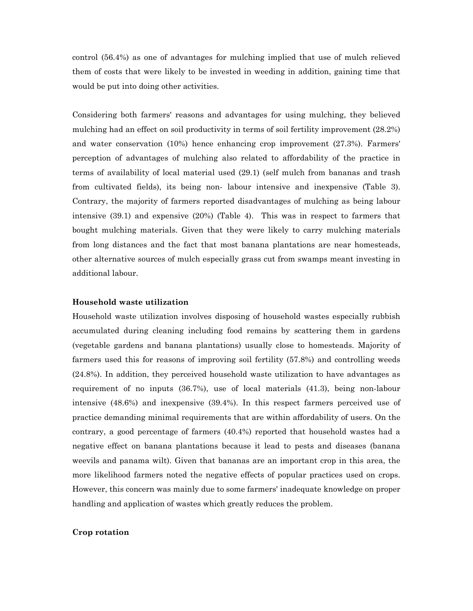control (56.4%) as one of advantages for mulching implied that use of mulch relieved them of costs that were likely to be invested in weeding in addition, gaining time that would be put into doing other activities.

Considering both farmers' reasons and advantages for using mulching, they believed mulching had an effect on soil productivity in terms of soil fertility improvement (28.2%) and water conservation (10%) hence enhancing crop improvement (27.3%). Farmers' perception of advantages of mulching also related to affordability of the practice in terms of availability of local material used (29.1) (self mulch from bananas and trash from cultivated fields), its being non- labour intensive and inexpensive (Table 3). Contrary, the majority of farmers reported disadvantages of mulching as being labour intensive (39.1) and expensive (20%) (Table 4). This was in respect to farmers that bought mulching materials. Given that they were likely to carry mulching materials from long distances and the fact that most banana plantations are near homesteads, other alternative sources of mulch especially grass cut from swamps meant investing in additional labour.

#### **Household waste utilization**

Household waste utilization involves disposing of household wastes especially rubbish accumulated during cleaning including food remains by scattering them in gardens (vegetable gardens and banana plantations) usually close to homesteads. Majority of farmers used this for reasons of improving soil fertility (57.8%) and controlling weeds (24.8%). In addition, they perceived household waste utilization to have advantages as requirement of no inputs (36.7%), use of local materials (41.3), being non-labour intensive (48.6%) and inexpensive (39.4%). In this respect farmers perceived use of practice demanding minimal requirements that are within affordability of users. On the contrary, a good percentage of farmers (40.4%) reported that household wastes had a negative effect on banana plantations because it lead to pests and diseases (banana weevils and panama wilt). Given that bananas are an important crop in this area, the more likelihood farmers noted the negative effects of popular practices used on crops. However, this concern was mainly due to some farmers' inadequate knowledge on proper handling and application of wastes which greatly reduces the problem.

#### **Crop rotation**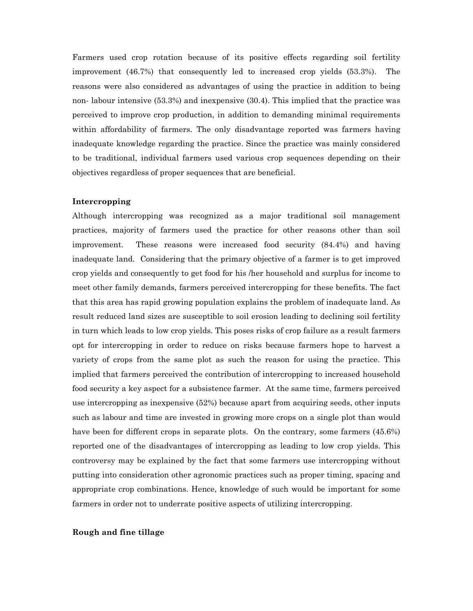Farmers used crop rotation because of its positive effects regarding soil fertility improvement (46.7%) that consequently led to increased crop yields (53.3%). The reasons were also considered as advantages of using the practice in addition to being non- labour intensive (53.3%) and inexpensive (30.4). This implied that the practice was perceived to improve crop production, in addition to demanding minimal requirements within affordability of farmers. The only disadvantage reported was farmers having inadequate knowledge regarding the practice. Since the practice was mainly considered to be traditional, individual farmers used various crop sequences depending on their objectives regardless of proper sequences that are beneficial.

#### **Intercropping**

Although intercropping was recognized as a major traditional soil management practices, majority of farmers used the practice for other reasons other than soil improvement. These reasons were increased food security (84.4%) and having inadequate land. Considering that the primary objective of a farmer is to get improved crop yields and consequently to get food for his /her household and surplus for income to meet other family demands, farmers perceived intercropping for these benefits. The fact that this area has rapid growing population explains the problem of inadequate land. As result reduced land sizes are susceptible to soil erosion leading to declining soil fertility in turn which leads to low crop yields. This poses risks of crop failure as a result farmers opt for intercropping in order to reduce on risks because farmers hope to harvest a variety of crops from the same plot as such the reason for using the practice. This implied that farmers perceived the contribution of intercropping to increased household food security a key aspect for a subsistence farmer. At the same time, farmers perceived use intercropping as inexpensive (52%) because apart from acquiring seeds, other inputs such as labour and time are invested in growing more crops on a single plot than would have been for different crops in separate plots. On the contrary, some farmers  $(45.6%)$ reported one of the disadvantages of intercropping as leading to low crop yields. This controversy may be explained by the fact that some farmers use intercropping without putting into consideration other agronomic practices such as proper timing, spacing and appropriate crop combinations. Hence, knowledge of such would be important for some farmers in order not to underrate positive aspects of utilizing intercropping.

#### **Rough and fine tillage**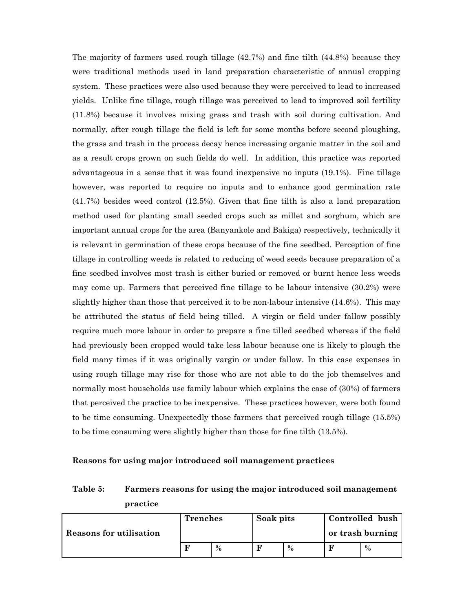The majority of farmers used rough tillage (42.7%) and fine tilth (44.8%) because they were traditional methods used in land preparation characteristic of annual cropping system. These practices were also used because they were perceived to lead to increased yields. Unlike fine tillage, rough tillage was perceived to lead to improved soil fertility (11.8%) because it involves mixing grass and trash with soil during cultivation. And normally, after rough tillage the field is left for some months before second ploughing, the grass and trash in the process decay hence increasing organic matter in the soil and as a result crops grown on such fields do well. In addition, this practice was reported advantageous in a sense that it was found inexpensive no inputs (19.1%). Fine tillage however, was reported to require no inputs and to enhance good germination rate (41.7%) besides weed control (12.5%). Given that fine tilth is also a land preparation method used for planting small seeded crops such as millet and sorghum, which are important annual crops for the area (Banyankole and Bakiga) respectively, technically it is relevant in germination of these crops because of the fine seedbed. Perception of fine tillage in controlling weeds is related to reducing of weed seeds because preparation of a fine seedbed involves most trash is either buried or removed or burnt hence less weeds may come up. Farmers that perceived fine tillage to be labour intensive (30.2%) were slightly higher than those that perceived it to be non-labour intensive (14.6%). This may be attributed the status of field being tilled. A virgin or field under fallow possibly require much more labour in order to prepare a fine tilled seedbed whereas if the field had previously been cropped would take less labour because one is likely to plough the field many times if it was originally vargin or under fallow. In this case expenses in using rough tillage may rise for those who are not able to do the job themselves and normally most households use family labour which explains the case of (30%) of farmers that perceived the practice to be inexpensive. These practices however, were both found to be time consuming. Unexpectedly those farmers that perceived rough tillage (15.5%) to be time consuming were slightly higher than those for fine tilth (13.5%).

#### **Reasons for using major introduced soil management practices**

### **Table 5: Farmers reasons for using the major introduced soil management practice**

| Reasons for utilisation | <b>Trenches</b> |      | Soak pits |      | Controlled bush<br>or trash burning |      |  |
|-------------------------|-----------------|------|-----------|------|-------------------------------------|------|--|
|                         |                 | $\%$ |           | $\%$ |                                     | $\%$ |  |
|                         |                 |      |           |      |                                     |      |  |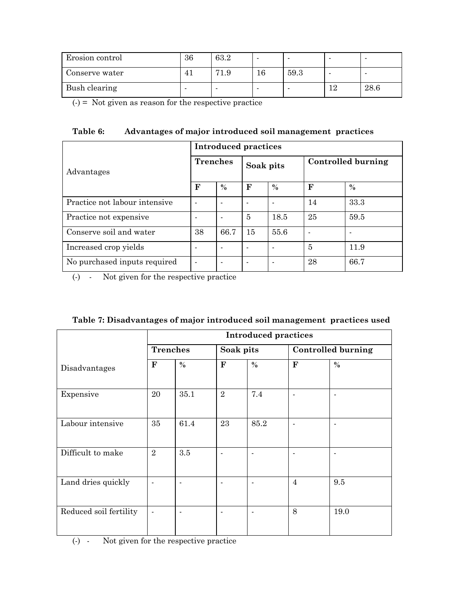| Erosion control | 36 | 63.2 |    |      |    |      |
|-----------------|----|------|----|------|----|------|
| Conserve water  | 41 | 71.9 | 16 | 59.3 |    |      |
| Bush clearing   | -  |      |    |      | 12 | 28.6 |

 $(-)$  = Not given as reason for the respective practice

| Table 6: |  | Advantages of major introduced soil management practices |  |
|----------|--|----------------------------------------------------------|--|
|----------|--|----------------------------------------------------------|--|

|                               | <b>Introduced practices</b> |                 |           |                          |                    |      |  |  |  |
|-------------------------------|-----------------------------|-----------------|-----------|--------------------------|--------------------|------|--|--|--|
| Advantages                    |                             | <b>Trenches</b> | Soak pits |                          | Controlled burning |      |  |  |  |
|                               | $\mathbf F$                 | $\%$            | F         | $\frac{0}{0}$            | F                  | $\%$ |  |  |  |
| Practice not labour intensive | $\blacksquare$              |                 |           | $\overline{\phantom{0}}$ | 14                 | 33.3 |  |  |  |
| Practice not expensive        |                             |                 | 5         | 18.5                     | 25                 | 59.5 |  |  |  |
| Conserve soil and water       | 38                          | 66.7            | 15        | 55.6                     | ٠                  |      |  |  |  |
| Increased crop yields         |                             |                 |           | $\blacksquare$           | 5                  | 11.9 |  |  |  |
| No purchased inputs required  | $\blacksquare$              |                 |           |                          | 28                 | 66.7 |  |  |  |

(-) - Not given for the respective practice

| Table 7: Disadvantages of major introduced soil management practices used |  |  |  |  |
|---------------------------------------------------------------------------|--|--|--|--|
|---------------------------------------------------------------------------|--|--|--|--|

|                        | <b>Introduced practices</b> |      |                |      |                           |      |
|------------------------|-----------------------------|------|----------------|------|---------------------------|------|
|                        | <b>Trenches</b>             |      | Soak pits      |      | <b>Controlled burning</b> |      |
| Disadvantages          | ${\bf F}$                   | $\%$ | ${\bf F}$      | $\%$ | ${\bf F}$                 | $\%$ |
| Expensive              | 20                          | 35.1 | $\overline{2}$ | 7.4  |                           |      |
| Labour intensive       | 35                          | 61.4 | 23             | 85.2 |                           |      |
| Difficult to make      | $\overline{2}$              | 3.5  | $\blacksquare$ |      |                           |      |
| Land dries quickly     | $\blacksquare$              |      |                |      | $\overline{4}$            | 9.5  |
| Reduced soil fertility | $\blacksquare$              |      |                |      | 8                         | 19.0 |

(-) - Not given for the respective practice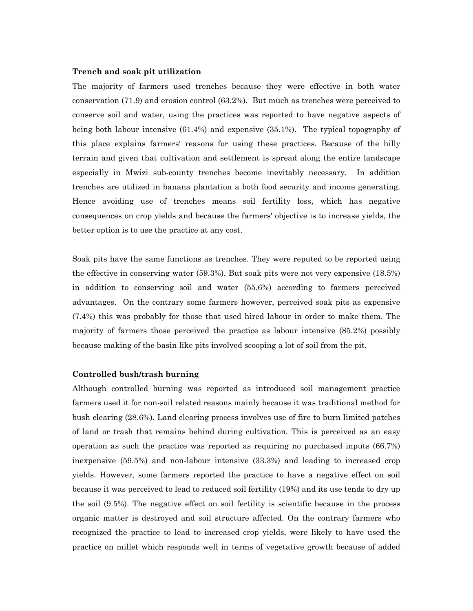#### **Trench and soak pit utilization**

The majority of farmers used trenches because they were effective in both water conservation (71.9) and erosion control (63.2%). But much as trenches were perceived to conserve soil and water, using the practices was reported to have negative aspects of being both labour intensive (61.4%) and expensive (35.1%). The typical topography of this place explains farmers' reasons for using these practices. Because of the hilly terrain and given that cultivation and settlement is spread along the entire landscape especially in Mwizi sub-county trenches become inevitably necessary. In addition trenches are utilized in banana plantation a both food security and income generating. Hence avoiding use of trenches means soil fertility loss, which has negative consequences on crop yields and because the farmers' objective is to increase yields, the better option is to use the practice at any cost.

Soak pits have the same functions as trenches. They were reputed to be reported using the effective in conserving water (59.3%). But soak pits were not very expensive (18.5%) in addition to conserving soil and water (55.6%) according to farmers perceived advantages. On the contrary some farmers however, perceived soak pits as expensive (7.4%) this was probably for those that used hired labour in order to make them. The majority of farmers those perceived the practice as labour intensive (85.2%) possibly because making of the basin like pits involved scooping a lot of soil from the pit.

#### **Controlled bush/trash burning**

Although controlled burning was reported as introduced soil management practice farmers used it for non-soil related reasons mainly because it was traditional method for bush clearing (28.6%). Land clearing process involves use of fire to burn limited patches of land or trash that remains behind during cultivation. This is perceived as an easy operation as such the practice was reported as requiring no purchased inputs (66.7%) inexpensive (59.5%) and non-labour intensive (33.3%) and leading to increased crop yields. However, some farmers reported the practice to have a negative effect on soil because it was perceived to lead to reduced soil fertility (19%) and its use tends to dry up the soil (9.5%). The negative effect on soil fertility is scientific because in the process organic matter is destroyed and soil structure affected. On the contrary farmers who recognized the practice to lead to increased crop yields, were likely to have used the practice on millet which responds well in terms of vegetative growth because of added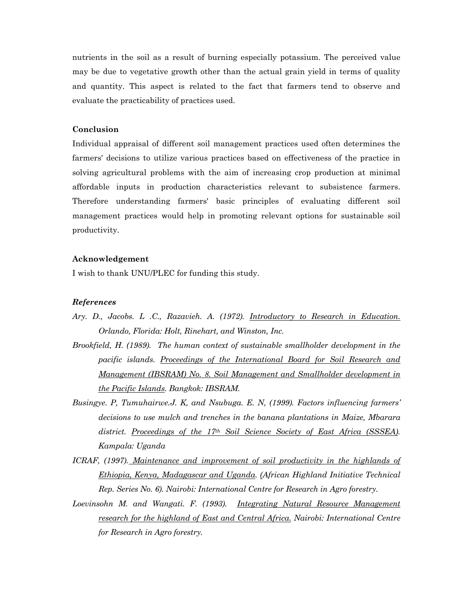nutrients in the soil as a result of burning especially potassium. The perceived value may be due to vegetative growth other than the actual grain yield in terms of quality and quantity. This aspect is related to the fact that farmers tend to observe and evaluate the practicability of practices used.

#### **Conclusion**

Individual appraisal of different soil management practices used often determines the farmers' decisions to utilize various practices based on effectiveness of the practice in solving agricultural problems with the aim of increasing crop production at minimal affordable inputs in production characteristics relevant to subsistence farmers. Therefore understanding farmers' basic principles of evaluating different soil management practices would help in promoting relevant options for sustainable soil productivity.

#### **Acknowledgement**

I wish to thank UNU/PLEC for funding this study.

#### *References*

- *Ary. D., Jacobs. L .C., Razavieh. A. (1972). Introductory to Research in Education. Orlando, Florida: Holt, Rinehart, and Winston, Inc.*
- *Brookfield, H. (1989). The human context of sustainable smallholder development in the pacific islands. Proceedings of the International Board for Soil Research and Management (IBSRAM) No. 8. Soil Management and Smallholder development in the Pacific Islands. Bangkok: IBSRAM.*
- *Busingye. P, Tumuhairwe.J. K, and Nsubuga. E. N, (1999). Factors influencing farmers' decisions to use mulch and trenches in the banana plantations in Maize, Mbarara district. Proceedings of the 17th Soil Science Society of East Africa (SSSEA). Kampala: Uganda*
- *ICRAF, (1997). Maintenance and improvement of soil productivity in the highlands of Ethiopia, Kenya, Madagascar and Uganda. (African Highland Initiative Technical Rep. Series No. 6). Nairobi: International Centre for Research in Agro forestry.*
- Loevinsohn M. and Wangati. F. (1993). Integrating Natural Resource Management *research for the highland of East and Central Africa. Nairobi: International Centre for Research in Agro forestry.*